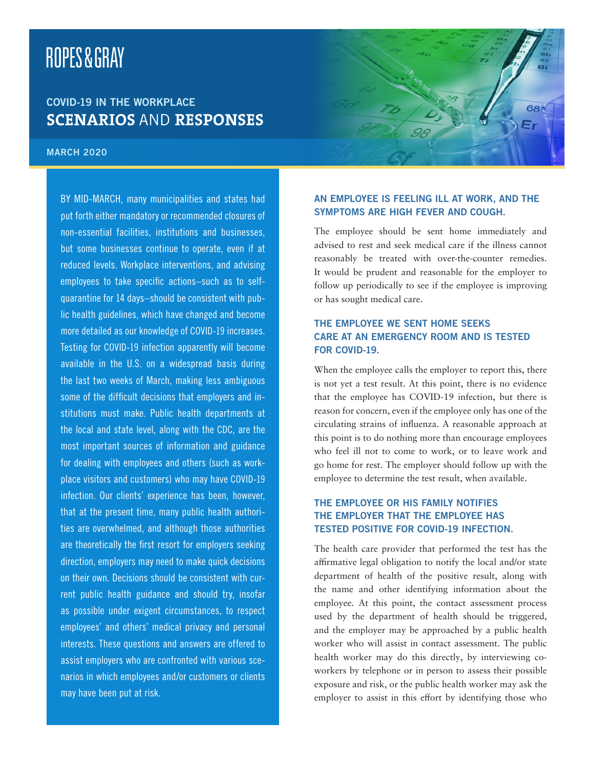# ROPES&GRAY

# COVID-19 IN THE WORKPLACE **SCENARIOS** AND **RESPONSES**

#### MARCH 2020

BY MID-MARCH, many municipalities and states had put forth either mandatory or recommended closures of non-essential facilities, institutions and businesses, but some businesses continue to operate, even if at reduced levels. Workplace interventions, and advising employees to take specific actions–such as to selfquarantine for 14 days–should be consistent with public health guidelines, which have changed and become more detailed as our knowledge of COVID-19 increases. Testing for COVID-19 infection apparently will become available in the U.S. on a widespread basis during the last two weeks of March, making less ambiguous some of the difficult decisions that employers and institutions must make. Public health departments at the local and state level, along with the CDC, are the most important sources of information and guidance for dealing with employees and others (such as workplace visitors and customers) who may have COVID-19 infection. Our clients' experience has been, however, that at the present time, many public health authorities are overwhelmed, and although those authorities are theoretically the first resort for employers seeking direction, employers may need to make quick decisions on their own. Decisions should be consistent with current public health guidance and should try, insofar as possible under exigent circumstances, to respect employees' and others' medical privacy and personal interests. These questions and answers are offered to assist employers who are confronted with various scenarios in which employees and/or customers or clients may have been put at risk.

#### AN EMPLOYEE IS FEELING ILL AT WORK, AND THE SYMPTOMS ARE HIGH FEVER AND COUGH.

The employee should be sent home immediately and advised to rest and seek medical care if the illness cannot reasonably be treated with over-the-counter remedies. It would be prudent and reasonable for the employer to follow up periodically to see if the employee is improving or has sought medical care.

# THE EMPLOYEE WE SENT HOME SEEKS CARE AT AN EMERGENCY ROOM AND IS TESTED FOR COVID-19.

When the employee calls the employer to report this, there is not yet a test result. At this point, there is no evidence that the employee has COVID-19 infection, but there is reason for concern, even if the employee only has one of the circulating strains of influenza. A reasonable approach at this point is to do nothing more than encourage employees who feel ill not to come to work, or to leave work and go home for rest. The employer should follow up with the employee to determine the test result, when available.

### THE EMPLOYEE OR HIS FAMILY NOTIFIES THE EMPLOYER THAT THE EMPLOYEE HAS TESTED POSITIVE FOR COVID-19 INFECTION.

The health care provider that performed the test has the affirmative legal obligation to notify the local and/or state department of health of the positive result, along with the name and other identifying information about the employee. At this point, the contact assessment process used by the department of health should be triggered, and the employer may be approached by a public health worker who will assist in contact assessment. The public health worker may do this directly, by interviewing coworkers by telephone or in person to assess their possible exposure and risk, or the public health worker may ask the employer to assist in this effort by identifying those who